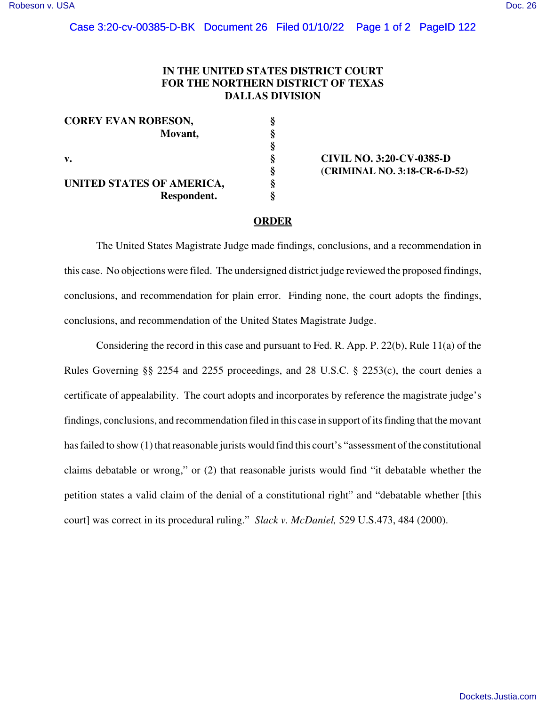## Case 3:20-cv-00385-D-BK Document 26 Filed 01/10/22 Page 1 of 2 PageID 122

## **IN THE UNITED STATES DISTRICT COURT FOR THE NORTHERN DISTRICT OF TEXAS DALLAS DIVISION**

| <b>COREY EVAN ROBESON,</b> |   |
|----------------------------|---|
| Movant,                    | ş |
|                            | ş |
| v.                         | ş |
|                            | ş |
| UNITED STATES OF AMERICA,  | ş |
| Respondent.                | s |

**v. § CIVIL NO. 3:20-CV-0385-D § (CRIMINAL NO. 3:18-CR-6-D-52)**

## **ORDER**

 **§**

The United States Magistrate Judge made findings, conclusions, and a recommendation in this case. No objections were filed. The undersigned district judge reviewed the proposed findings, conclusions, and recommendation for plain error. Finding none, the court adopts the findings, conclusions, and recommendation of the United States Magistrate Judge.

Considering the record in this case and pursuant to Fed. R. App. P. 22(b), Rule 11(a) of the Rules Governing §§ 2254 and 2255 proceedings, and 28 U.S.C. § 2253(c), the court denies a certificate of appealability. The court adopts and incorporates by reference the magistrate judge's findings, conclusions, and recommendation filed in this case in support of its finding that the movant has failed to show (1) that reasonable jurists would find this court's "assessment of the constitutional claims debatable or wrong," or (2) that reasonable jurists would find "it debatable whether the petition states a valid claim of the denial of a constitutional right" and "debatable whether [this court] was correct in its procedural ruling." *Slack v. McDaniel,* 529 U.S.473, 484 (2000).